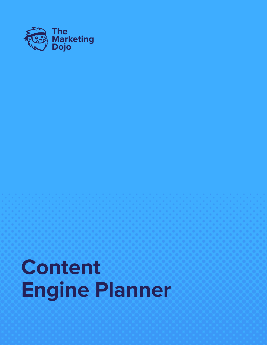

# **Content Engine Planner**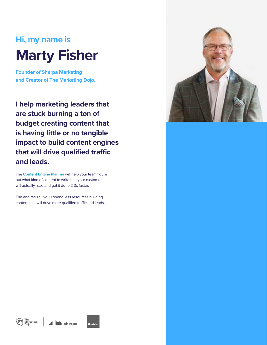## **Hi, my name is Marty Fisher**

**Founder of Sherpa Marketing and Creator of The Marketing Dojo.**

**I help marketing leaders that are stuck burning a ton of budget creating content that is having little or no tangible impact to build content engines that will drive qualified traffic and leads.**

The **Content Engine Planner** will help your team figure out what kind of content to write that your customer will actually read and get it done 2-3x faster.

The end result… you'll spend less resources building content that will drive more qualified traffic and leads.





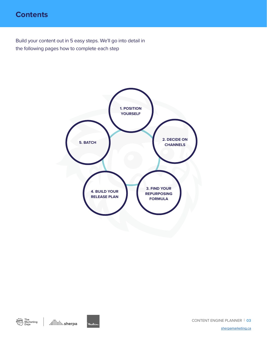## **Contents**

Build your content out in 5 easy steps. We'll go into detail in the following pages how to complete each step





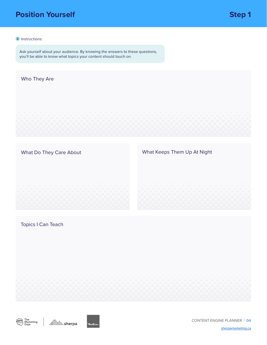## **Position Yourself**

#### **i** Instructions:

Ask yourself about your audience. By knowing the answers to these questions, you'll be able to know what topics your content should touch on.

#### Who They Are

What Do They Care About

What Keeps Them Up At Night

Topics I Can Teach





CONTENT ENGINE PLANNER | **04**

[sherpamarketing.ca](http://sherpamarketing.ca)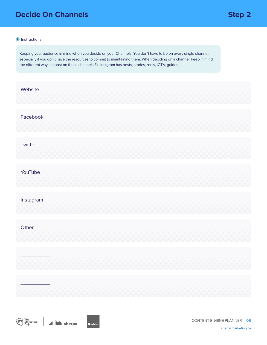## **Decide On Channels Step 2**

#### **i** Instructions:

Keeping your audience in mind when you decide on your Channels. You don't have to be on every single channel, especially if you don't have the resources to commit to maintaining them. When deciding on a channel, keep in mind the different ways to post on those channels Ex: Instgram has posts, stories, reels, IGTV, guides.

| Website                        |  |  |
|--------------------------------|--|--|
| Facebook                       |  |  |
| Twitter                        |  |  |
| YouTube<br>$\bullet$ $\bullet$ |  |  |
| Instagram                      |  |  |
| Other                          |  |  |
| $\bullet$                      |  |  |
|                                |  |  |





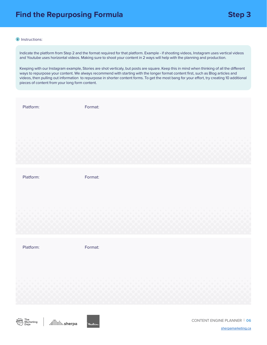#### **i** Instructions:

Indicate the platform from Step 2 and the format required for that platform. Example - if shooting videos, Instagram uses vertical videos and Youtube uses horizontal videos. Making sure to shoot your content in 2 ways will help with the planning and production.

Keeping with our Instagram example, Stories are shot verticaly, but posts are square. Keep this in mind when thinking of all the different ways to repurpose your content. We always recommend with starting with the longer format content first, such as Blog articles and videos, then pulling out information to repurpose in shorter content forms. To get the most bang for your effort, try creating 10 additional pieces of content from your long form content.

Platform:

Format:

Platform:

Format:

Platform:

Format:





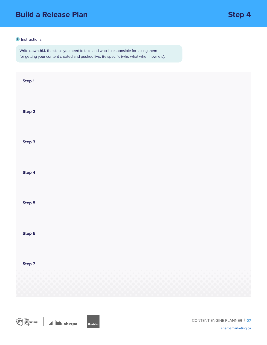## **Build a Release Plan Step 4**

#### **i** Instructions:

Write down **ALL** the steps you need to take and who is responsible for taking them for getting your content created and pushed live. Be specific (who what when how, etc):

| Step 1 |  |
|--------|--|
| Step 2 |  |
| Step 3 |  |
| Step 4 |  |
| Step 5 |  |
| Step 6 |  |
| Step 7 |  |
|        |  |



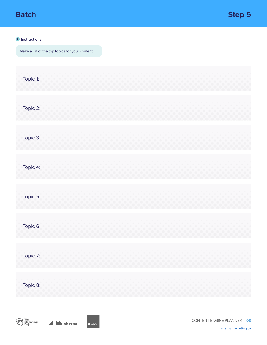#### **i** Instructions:

Make a list of the top topics for your content:

| Topic 1: |  |  |  |
|----------|--|--|--|
| Topic 2: |  |  |  |
| Topic 3: |  |  |  |
| Topic 4: |  |  |  |
| Topic 5: |  |  |  |
| Topic 6: |  |  |  |
| Topic 7: |  |  |  |
| Topic 8: |  |  |  |



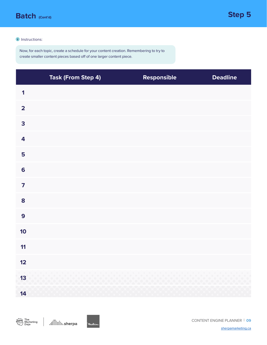

#### **i** Instructions:

Now, for each topic, create a schedule for your content creation. Remembering to try to create smaller content pieces based off of one larger content piece.

|                         | <b>Task (From Step 4)</b> | Responsible | <b>Deadline</b> |
|-------------------------|---------------------------|-------------|-----------------|
| $\overline{\mathbf{1}}$ |                           |             |                 |
| $\overline{\mathbf{2}}$ |                           |             |                 |
| 3                       |                           |             |                 |
| $\overline{\mathbf{4}}$ |                           |             |                 |
| 5                       |                           |             |                 |
| $6\phantom{a}$          |                           |             |                 |
| $\overline{\mathbf{z}}$ |                           |             |                 |
| 8                       |                           |             |                 |
| 9                       |                           |             |                 |
| 10                      |                           |             |                 |
| 11                      |                           |             |                 |
| 12                      |                           |             |                 |
| $13$                    |                           |             |                 |
| 14                      |                           |             |                 |



Mikie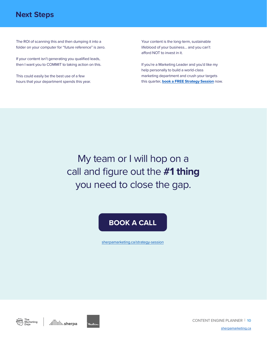## **Next Steps**

The ROI of scanning this and then dumping it into a folder on your computer for "future reference" is zero.

If your content isn't generating you qualified leads, then I want you to COMMIT to taking action on this.

This could easily be the best use of a few hours that your department spends this year. Your content is the long-term, sustainable lifeblood of your business… and you can't afford NOT to invest in it.

If you're a Marketing Leader and you'd like my help personally to build a world-class marketing department and crush your targets this quarter, **[book a FREE Strategy Session](https://www.sherpamarketing.ca/strategy-session)** now.

My team or I will hop on a call and figure out the **#1 thing**  you need to close the gap.

## **[BOOK A CALL](https://www.sherpamarketing.ca/strategy-session)**

[sherpamarketing.ca/strategy-session](https://www.sherpamarketing.ca/strategy-session)



diililili. sherpa



CONTENT ENGINE PLANNER | **10**

[sherpamarketing.ca](http://sherpamarketing.ca)